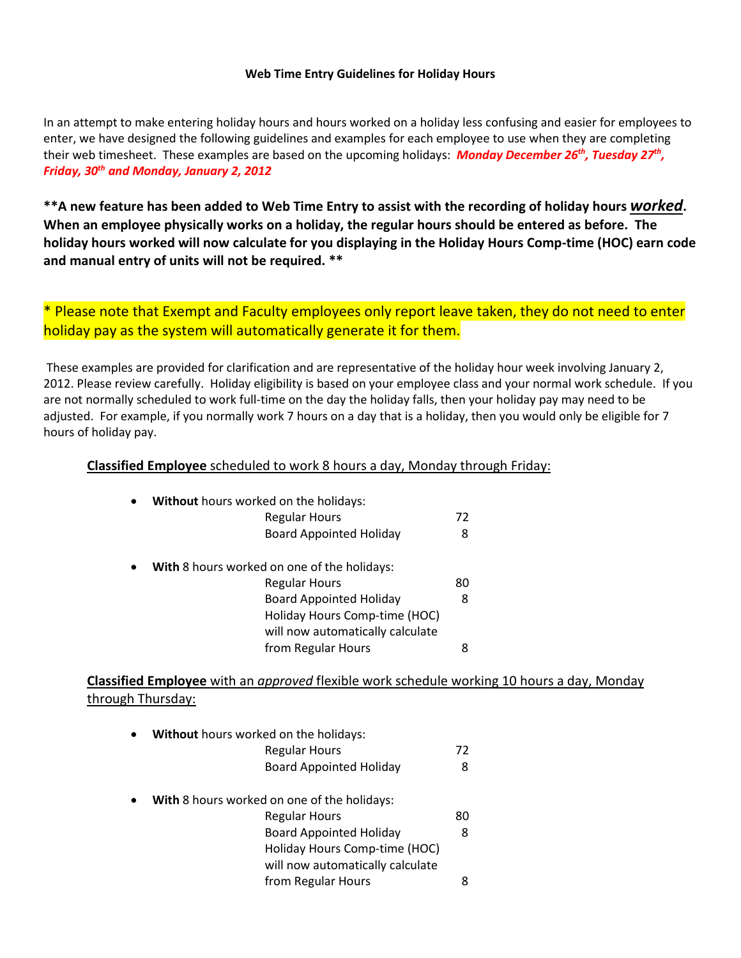## **Web Time Entry Guidelines for Holiday Hours**

In an attempt to make entering holiday hours and hours worked on a holiday less confusing and easier for employees to enter, we have designed the following guidelines and examples for each employee to use when they are completing their web timesheet. These examples are based on the upcoming holidays: *Monday December 26th, Tuesday 27th, Friday, 30th and Monday, January 2, 2012*

**\*\*A new feature has been added to Web Time Entry to assist with the recording of holiday hours** *worked***. When an employee physically works on a holiday, the regular hours should be entered as before. The holiday hours worked will now calculate for you displaying in the Holiday Hours Comp-time (HOC) earn code and manual entry of units will not be required. \*\***

\* Please note that Exempt and Faculty employees only report leave taken, they do not need to enter holiday pay as the system will automatically generate it for them.

These examples are provided for clarification and are representative of the holiday hour week involving January 2, 2012. Please review carefully. Holiday eligibility is based on your employee class and your normal work schedule. If you are not normally scheduled to work full-time on the day the holiday falls, then your holiday pay may need to be adjusted. For example, if you normally work 7 hours on a day that is a holiday, then you would only be eligible for 7 hours of holiday pay.

**Classified Employee** scheduled to work 8 hours a day, Monday through Friday:

| Without hours worked on the holidays:       |    |
|---------------------------------------------|----|
| <b>Regular Hours</b>                        | 72 |
| <b>Board Appointed Holiday</b>              | 8  |
| With 8 hours worked on one of the holidays: |    |
| <b>Regular Hours</b>                        | 80 |
| <b>Board Appointed Holiday</b>              | 8  |
| Holiday Hours Comp-time (HOC)               |    |
| will now automatically calculate            |    |
| from Regular Hours                          |    |

**Classified Employee** with an *approved* flexible work schedule working 10 hours a day, Monday through Thursday:

| $\bullet$ | <b>Without</b> hours worked on the holidays: |    |  |
|-----------|----------------------------------------------|----|--|
|           | <b>Regular Hours</b>                         | 72 |  |
|           | <b>Board Appointed Holiday</b>               | 8  |  |
| $\bullet$ | With 8 hours worked on one of the holidays:  |    |  |

Regular Hours 80 Board Appointed Holiday 8 Holiday Hours Comp-time (HOC) will now automatically calculate from Regular Hours 8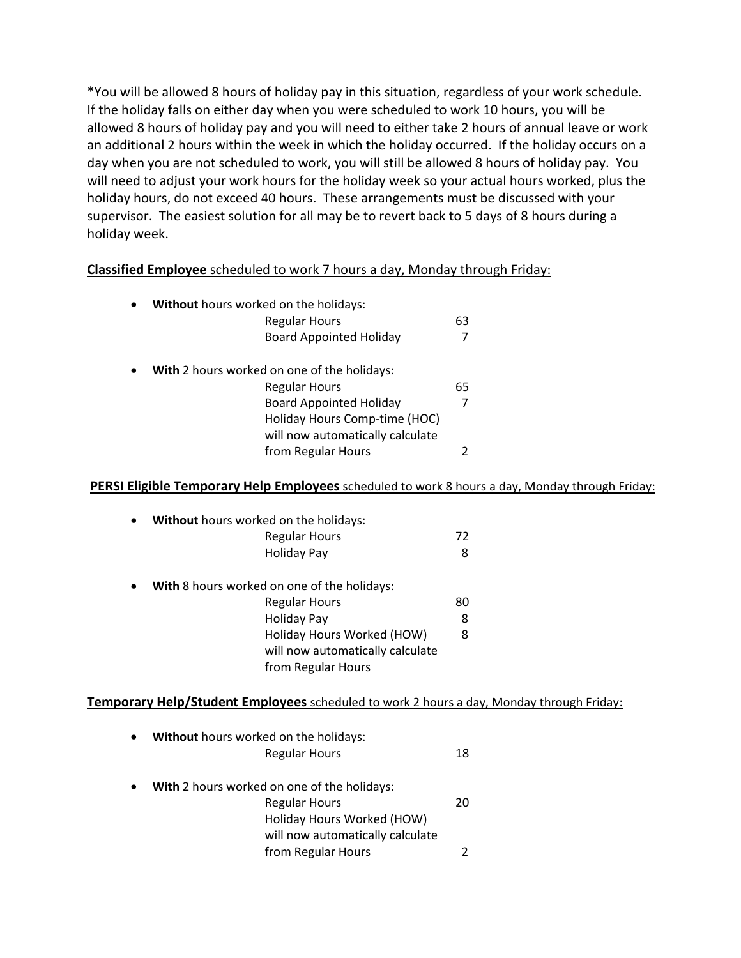\*You will be allowed 8 hours of holiday pay in this situation, regardless of your work schedule. If the holiday falls on either day when you were scheduled to work 10 hours, you will be allowed 8 hours of holiday pay and you will need to either take 2 hours of annual leave or work an additional 2 hours within the week in which the holiday occurred. If the holiday occurs on a day when you are not scheduled to work, you will still be allowed 8 hours of holiday pay. You will need to adjust your work hours for the holiday week so your actual hours worked, plus the holiday hours, do not exceed 40 hours. These arrangements must be discussed with your supervisor. The easiest solution for all may be to revert back to 5 days of 8 hours during a holiday week.

## **Classified Employee** scheduled to work 7 hours a day, Monday through Friday:

| $\bullet$ | Without hours worked on the holidays:       |    |
|-----------|---------------------------------------------|----|
|           | <b>Regular Hours</b>                        | 63 |
|           | <b>Board Appointed Holiday</b>              | 7  |
| $\bullet$ | With 2 hours worked on one of the holidays: |    |
|           | <b>Regular Hours</b>                        | 65 |
|           | <b>Board Appointed Holiday</b>              | 7  |
|           | Holiday Hours Comp-time (HOC)               |    |
|           | will now automatically calculate            |    |
|           | from Regular Hours                          |    |

## **PERSI Eligible Temporary Help Employees** scheduled to work 8 hours a day, Monday through Friday:

|           | <b>Regular Hours</b><br>Holiday Pay                | 72<br>8 |  |
|-----------|----------------------------------------------------|---------|--|
|           |                                                    |         |  |
|           |                                                    |         |  |
| $\bullet$ | <b>With 8 hours worked on one of the holidays:</b> |         |  |
|           | <b>Regular Hours</b>                               | 80      |  |
|           | <b>Holiday Pay</b>                                 | 8       |  |
|           | Holiday Hours Worked (HOW)                         | 8       |  |
|           | will now automatically calculate                   |         |  |
|           | from Regular Hours                                 |         |  |

| $\bullet$ | Without hours worked on the holidays:              |    |
|-----------|----------------------------------------------------|----|
|           | <b>Regular Hours</b>                               | 18 |
| $\bullet$ | <b>With</b> 2 hours worked on one of the holidays: |    |
|           | <b>Regular Hours</b>                               | 20 |
|           | Holiday Hours Worked (HOW)                         |    |
|           | will now automatically calculate                   |    |
|           | from Regular Hours                                 |    |